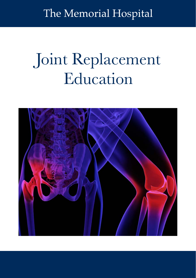The Memorial Hospital

# Joint Replacement Education

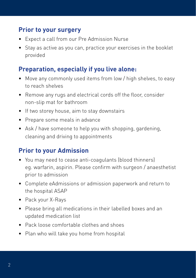#### **Prior to your surgery**

- Expect a call from our Pre Admission Nurse
- Stay as active as you can, practice your exercises in the booklet provided

#### **Preparation, especially if you live alone:**

- Move any commonly used items from low / high shelves, to easy to reach shelves
- Remove any rugs and electrical cords off the floor, consider non-slip mat for bathroom
- If two storey house, aim to stay downstairs
- Prepare some meals in advance
- Ask / have someone to help you with shopping, gardening, cleaning and driving to appointments

#### **Prior to your Admission**

- You may need to cease anti-coagulants (blood thinners) eg. warfarin, aspirin. Please confirm with surgeon / anaesthetist prior to admission
- Complete eAdmissions or admission paperwork and return to the hospital ASAP
- • Pack your X-Rays
- • Please bring all medications in their labelled boxes and an updated medication list
- Pack loose comfortable clothes and shoes
- Plan who will take you home from hospital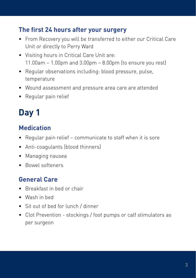#### **The first 24 hours after your surgery**

- From Recovery you will be transferred to either our Critical Care Unit or directly to Perry Ward
- • Visiting hours in Critical Care Unit are: 11.00am – 1.00pm and 3.00pm – 8.00pm (to ensure you rest)
- Regular observations including: blood pressure, pulse, temperature
- • Wound assessment and pressure area care are attended
- Regular pain relief

# **Day 1**

#### **Medication**

- Regular pain relief communicate to staff when it is sore
- • Anti-coagulants (blood thinners)
- • Managing nausea
- • Bowel softeners

#### **General Care**

- • Breakfast in bed or chair
- • Wash in bed
- Sit out of bed for lunch / dinner
- Clot Prevention stockings / foot pumps or calf stimulators as per surgeon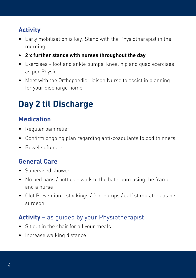## **Activity**

- Early mobilisation is key! Stand with the Physiotherapist in the morning
- **• 2 x further stands with nurses throughout the day**
- Exercises foot and ankle pumps, knee, hip and quad exercises as per Physio
- Meet with the Orthopaedic Liaison Nurse to assist in planning for your discharge home

# **Day 2 til Discharge**

#### **Medication**

- • Regular pain relief
- Confirm ongoing plan regarding anti-coagulants (blood thinners)
- • Bowel softeners

#### **General Care**

- Supervised shower
- No bed pans / bottles walk to the bathroom using the frame and a nurse
- Clot Prevention stockings / foot pumps / calf stimulators as per surgeon

### **Activity** – as guided by your Physiotherapist

- Sit out in the chair for all your meals
- Increase walking distance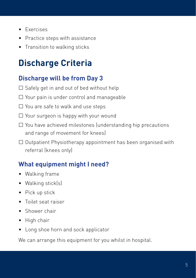- • Exercises
- • Practice steps with assistance
- Transition to walking sticks

# **Discharge Criteria**

#### **Discharge will be from Day 3**

- $\square$  Safely get in and out of bed without help
- $\Box$  Your pain is under control and manageable
- $\Box$  You are safe to walk and use steps
- $\Box$  Your surgeon is happy with your wound
- □ You have achieved milestones (understanding hip precautions and range of movement for knees)
- $\Box$  Outpatient Physiotherapy appointment has been organised with referral (knees only)

#### **What equipment might I need?**

- Walking frame
- Walking stick(s)
- Pick up stick
- • Toilet seat raiser
- Shower chair
- • High chair
- Long shoe horn and sock applicator

We can arrange this equipment for you whilst in hospital.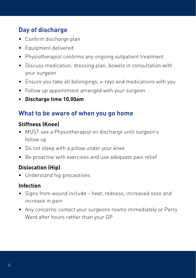#### **Day of discharge**

- Confirm discharge plan
- Equipment delivered
- • Physiotherapist confirms any ongoing outpatient treatment
- Discuss medication, dressing plan, bowels in consultation with your surgeon
- Ensure you take all belongings, x-rays and medications with you
- Follow up appointment arranged with your surgeon
- **• Discharge time 10.00am**

#### **What to be aware of when you go home**

#### **Stiffness (Knee)**

- MUST see a Physiotherapist on discharge until surgeon's follow up
- Do not sleep with a pillow under your knee
- Be proactive with exercises and use adequate pain relief

#### **Dislocation (Hip)**

• Understand hip precautions

#### **Infection**

- Signs from wound include heat, redness, increased ooze and increase in pain
- Any concerns contact your surgeons rooms immediately or Perry Ward after hours rather than your GP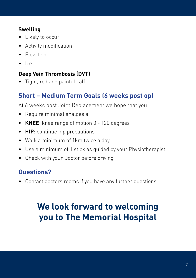#### **Swelling**

- Likely to occur
- • Activity modification
- • Elevation
- $\bullet$  Ice

#### **Deep Vein Thrombosis (DVT)**

• Tight, red and painful calf

## **Short – Medium Term Goals (6 weeks post op)**

At 6 weeks post Joint Replacement we hope that you:

- • Require minimal analgesia
- **• KNEE**: knee range of motion 0 120 degrees
- **• HIP**: continue hip precautions
- Walk a minimum of 1km twice a day
- Use a minimum of 1 stick as guided by your Physiotherapist
- Check with your Doctor before driving

## **Questions?**

• Contact doctors rooms if you have any further questions

# **We look forward to welcoming you to The Memorial Hospital**